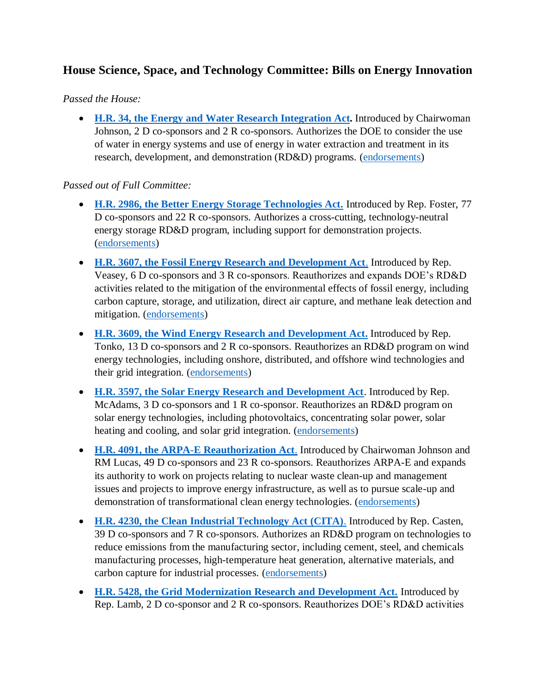# **House Science, Space, and Technology Committee: Bills on Energy Innovation**

#### *Passed the House:*

 **H.R. 34, the Energy and [Water Research Integration Act.](https://science.house.gov/news/press-releases/chairwoman-johnson-and-ranking-member-lucas-introduce-sexual-harassment-and-energy-water-nexus-legislation)** Introduced by Chairwoman Johnson, 2 D co-sponsors and 2 R co-sponsors. Authorizes the DOE to consider the use of water in energy systems and use of energy in water extraction and treatment in its research, development, and demonstration (RD&D) programs. [\(endorsements\)](https://science.house.gov/bills/hr-34-the-energy-and-water-research-integration-act-of-2019)

#### *Passed out of Full Committee:*

- **[H.R. 2986, the Better Energy Storage Technologies Act.](https://foster.house.gov/media/press-releases/foster-introduces-bipartisan-legislation-to-enhance-american-energy-storage)** Introduced by Rep. Foster, 77 D co-sponsors and 22 R co-sponsors. Authorizes a cross-cutting, technology-neutral energy storage RD&D program, including support for demonstration projects. [\(endorsements\)](https://science.house.gov/bills/hr-2986-the-better-energy-storage-technologies-best-act)
- **[H.R. 3607, the Fossil Energy Research and Development Act](https://veasey.house.gov/media-center/press-releases/representative-marc-veasey-leads-reintroduction-of-bipartisan-energy)**. Introduced by Rep. Veasey, 6 D co-sponsors and 3 R co-sponsors. Reauthorizes and expands DOE's RD&D activities related to the mitigation of the environmental effects of fossil energy, including carbon capture, storage, and utilization, direct air capture, and methane leak detection and mitigation. [\(endorsements\)](https://science.house.gov/bills/hr-3607-the-fossil-energy-research-and-development-act-of-2019)
- **[H.R. 3609, the Wind Energy Research and Development Act.](https://tonko.house.gov/news/documentsingle.aspx?DocumentID=2881)** Introduced by Rep. Tonko, 13 D co-sponsors and 2 R co-sponsors. Reauthorizes an RD&D program on wind energy technologies, including onshore, distributed, and offshore wind technologies and their grid integration. [\(endorsements\)](https://science.house.gov/bills/hr-3609-the-wind-energy-research-and-development-act)
- **[H.R. 3597, the Solar Energy Research and Development Act](https://mcadams.house.gov/media/press-releases/mcadams-introduces-bipartisan-solar-energy-research-and-development-bill)**. Introduced by Rep. McAdams, 3 D co-sponsors and 1 R co-sponsor. Reauthorizes an RD&D program on solar energy technologies, including photovoltaics, concentrating solar power, solar heating and cooling, and solar grid integration. [\(endorsements\)](https://science.house.gov/bills/hr-3597-the-solar-energy-research-and-development-act-of-2019)
- **[H.R. 4091, the ARPA-E Reauthorization Act](https://science.house.gov/news/press-releases/chairwoman-johnson-introduces-arpa-e-reauthorization)**. Introduced by Chairwoman Johnson and RM Lucas, 49 D co-sponsors and 23 R co-sponsors. Reauthorizes ARPA-E and expands its authority to work on projects relating to nuclear waste clean-up and management issues and projects to improve energy infrastructure, as well as to pursue scale-up and demonstration of transformational clean energy technologies. [\(endorsements\)](https://science.house.gov/bills/hr-4091-the-arpa-e-reauthorization-act-of-2019)
- **[H.R. 4230, the Clean Industrial Technology Act \(CITA\)](https://casten.house.gov/media/press-releases/new-bipartisan-bicameral-proposal-targets-industrial-emissions-reduction)**. Introduced by Rep. Casten, 39 D co-sponsors and 7 R co-sponsors. Authorizes an RD&D program on technologies to reduce emissions from the manufacturing sector, including cement, steel, and chemicals manufacturing processes, high-temperature heat generation, alternative materials, and carbon capture for industrial processes. [\(endorsements\)](https://science.house.gov/bills/hr-4230-the-clean-industrial-technology-act-of-2019)
- **[H.R. 5428, the Grid Modernization Research and Development Act.](https://lamb.house.gov/media/press-releases/lamb-introduces-bipartisan-grid-modernization-research-and-development-act-2019)** Introduced by Rep. Lamb, 2 D co-sponsor and 2 R co-sponsors. Reauthorizes DOE's RD&D activities